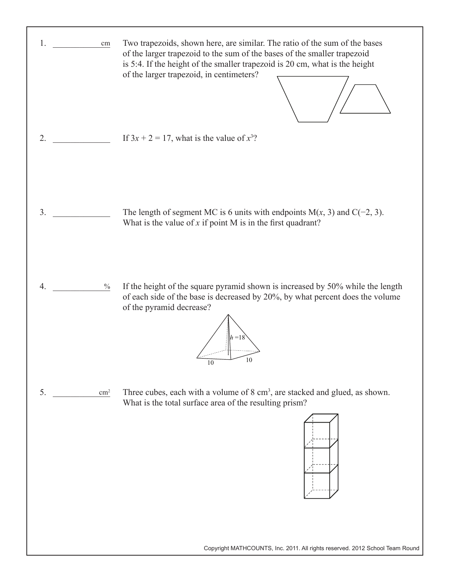

Copyright MATHCOUNTS, Inc. 2011. All rights reserved. 2012 School Team Round